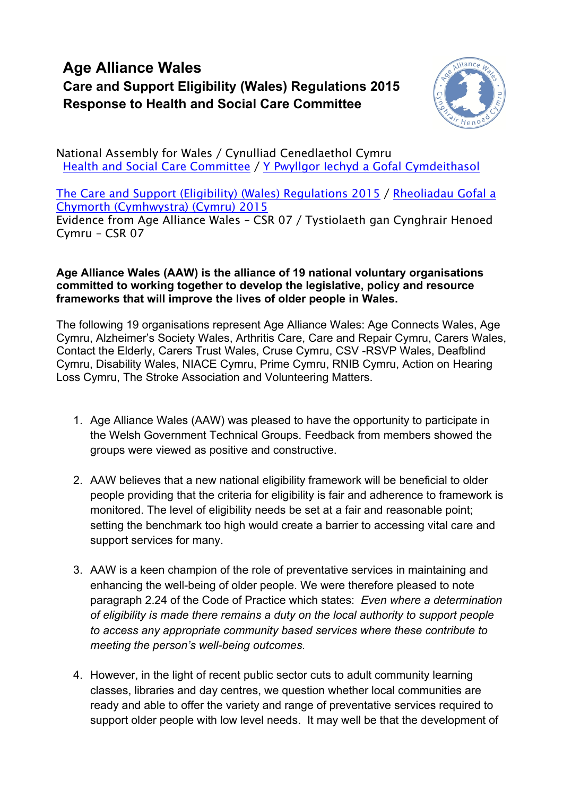## **Age Alliance Wales Care and Support Eligibility (Wales) Regulations 2015 Response to Health and Social Care Committee**



National Assembly for Wales / Cynulliad Cenedlaethol Cymru Health and Social Care [Committee](http://www.senedd.assembly.wales/mgCommitteeDetails.aspx?ID=227) / Y Pwyllgor Iechyd a Gofal [Cymdeithasol](http://www.senedd.cynulliad.cymru/mgCommitteeDetails.aspx?ID=227)

The Care and Support (Eligibility) (Wales) [Regulations](http://www.senedd.assembly.wales/mgConsultationDisplay.aspx?ID=177) 2015 / [Rheoliadau](http://www.senedd.cynulliad.cymru/mgConsultationDisplay.aspx?ID=177) Gofal a Chymorth [\(Cymhwystra\)](http://www.senedd.cynulliad.cymru/mgConsultationDisplay.aspx?ID=177) (Cymru) 2015

Evidence from Age Alliance Wales – CSR 07 / Tystiolaeth gan Cynghrair Henoed Cymru – CSR 07

## **Age Alliance Wales (AAW) is the alliance of 19 national voluntary organisations committed to working together to develop the legislative, policy and resource frameworks that will improve the lives of older people in Wales.**

The following 19 organisations represent Age Alliance Wales: Age Connects Wales, Age Cymru, Alzheimer's Society Wales, Arthritis Care, Care and Repair Cymru, Carers Wales, Contact the Elderly, Carers Trust Wales, Cruse Cymru, CSV -RSVP Wales, Deafblind Cymru, Disability Wales, NIACE Cymru, Prime Cymru, RNIB Cymru, Action on Hearing Loss Cymru, The Stroke Association and Volunteering Matters.

- 1. Age Alliance Wales (AAW) was pleased to have the opportunity to participate in the Welsh Government Technical Groups. Feedback from members showed the groups were viewed as positive and constructive.
- 2. AAW believes that a new national eligibility framework will be beneficial to older people providing that the criteria for eligibility is fair and adherence to framework is monitored. The level of eligibility needs be set at a fair and reasonable point; setting the benchmark too high would create a barrier to accessing vital care and support services for many.
- 3. AAW is a keen champion of the role of preventative services in maintaining and enhancing the well-being of older people. We were therefore pleased to note paragraph 2.24 of the Code of Practice which states: *Even where a determination of eligibility is made there remains a duty on the local authority to support people to access any appropriate community based services where these contribute to meeting the person's well-being outcomes.*
- 4. However, in the light of recent public sector cuts to adult community learning classes, libraries and day centres, we question whether local communities are ready and able to offer the variety and range of preventative services required to support older people with low level needs. It may well be that the development of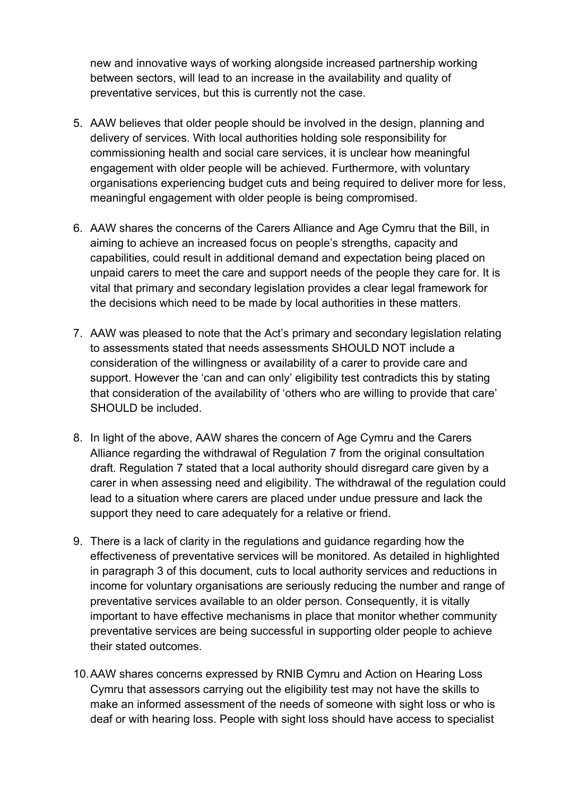new and innovative ways of working alongside increased partnership working between sectors, will lead to an increase in the availability and quality of preventative services, but this is currently not the case.

- 5. AAW believes that older people should be involved in the design, planning and delivery of services. With local authorities holding sole responsibility for commissioning health and social care services, it is unclear how meaningful engagement with older people will be achieved. Furthermore, with voluntary organisations experiencing budget cuts and being required to deliver more for less, meaningful engagement with older people is being compromised.
- 6. AAW shares the concerns of the Carers Alliance and Age Cymru that the Bill, in aiming to achieve an increased focus on people's strengths, capacity and capabilities, could result in additional demand and expectation being placed on unpaid carers to meet the care and support needs of the people they care for. It is vital that primary and secondary legislation provides a clear legal framework for the decisions which need to be made by local authorities in these matters.
- 7. AAW was pleased to note that the Act's primary and secondary legislation relating to assessments stated that needs assessments SHOULD NOT include a consideration of the willingness or availability of a carer to provide care and support. However the 'can and can only' eligibility test contradicts this by stating that consideration of the availability of 'others who are willing to provide that care' SHOULD be included.
- 8. In light of the above, AAW shares the concern of Age Cymru and the Carers Alliance regarding the withdrawal of Regulation 7 from the original consultation draft. Regulation 7 stated that a local authority should disregard care given by a carer in when assessing need and eligibility. The withdrawal of the regulation could lead to a situation where carers are placed under undue pressure and lack the support they need to care adequately for a relative or friend.
- 9. There is a lack of clarity in the regulations and guidance regarding how the effectiveness of preventative services will be monitored. As detailed in highlighted in paragraph 3 of this document, cuts to local authority services and reductions in income for voluntary organisations are seriously reducing the number and range of preventative services available to an older person. Consequently, it is vitally important to have effective mechanisms in place that monitor whether community preventative services are being successful in supporting older people to achieve their stated outcomes.
- 10.AAW shares concerns expressed by RNIB Cymru and Action on Hearing Loss Cymru that assessors carrying out the eligibility test may not have the skills to make an informed assessment of the needs of someone with sight loss or who is deaf or with hearing loss. People with sight loss should have access to specialist